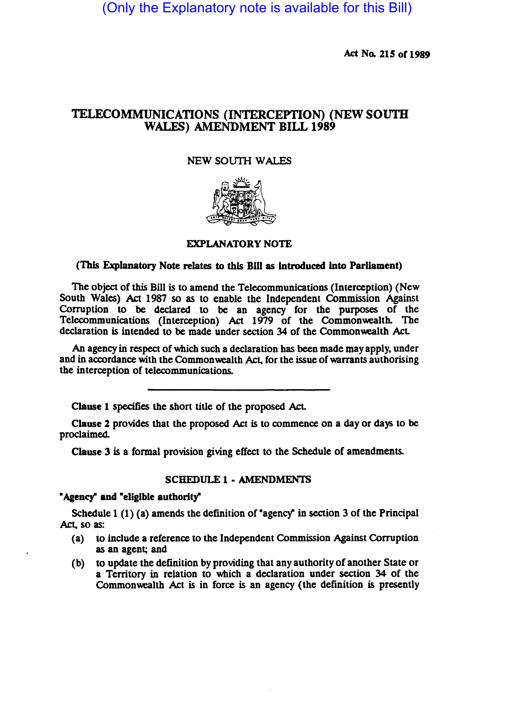(Only the Explanatory note is available for this Bill)

Act No. 215 of 1989

# TELECOMMUNICATIONS (INTERCEPTION) (NEW SOUTH WALES) AMENDMENT BILL 1989

### NEW SOUTH WALES



## EXPLANATORY NOTE

### (This Explanatory Note relates to this B1II as introduced into Parliament)

The object of this Bill is to amend the Telecommunications (Interception) (New South Wales) Act 1987 so as to enable the Independent Commission Against Corruption to be declared to be an agency for the purposes of the Telecommunications (Interception) Act 1979 of the Commonwealth. The declaration is intended to be made under section 34 of the Commonwealth Act

An agency in respect of which such a declaration has been made may apply, under and in accordance with the Commonwealth Act, for the issue of warrants authorising the interception of telecommunications.

Clause 1 specifies the short title of the proposed Act.

Clause 2 provides that the proposed Act is to commence on a day or days to be proclaimed.

Clause 3 is a formal provision giving effect to the Schedule of amendments.

#### SCHEDULE 1 • AMENDMENTS

### "Agency" and "eligible authority"

Schedule 1 (1) (a) amends the definition of "agency" in section 3 of the Principal Act, so as:

- (a) to include a reference to the Independent Commission Against Corruption as an agent; and
- (b) to update the definition by providing that any authority of another State or a Territory in relation to which a declaration under section 34 of the Commonwealth Act is in force is an agency (the definition is presently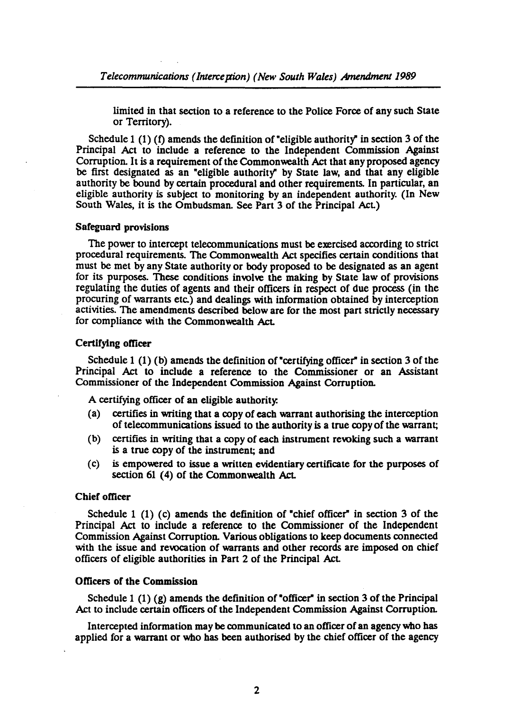limited in that section to a reference to the Police Force of any such State or Territory).

Schedule 1 (1) (f) amends the definition of "eligible authority" in section 3 of the Principal Act to include a reference to the Independent Commission Against Corruption. It is a requirement of the Commonwealth Act that any proposed agency be first designated as an "eligible authority" by State law, and that any eligible authority be bound by certain procedural and other requirements. In particular, an eligible authority is subject to monitoring by an independent authority. (In New South Wales, it is the Ombudsman. See Part 3 of the Principal AcL)

#### Safeguard provisions

The power to intercept telecommunications must be exercised according to strict procedural requirements. The Commonwealth Act specifies certain conditions that must be met by any State authority or body proposed to be designated as an agent for its purposes. These conditions involve the making by State law of provisions regulating the duties of agents and their officers in respect of due process (in the procuring of warrants etc.) and dealings with information obtained by interception activities. The amendments described below are for the most part strictly necessary for compliance with the Commonwealth Act.

#### Certifying officer

Schedule 1 (1) (b) amends the definition of "certifying officer" in section 3 of the Principal Act to include a reference to the Commissioner or an Assistant Commissioner of the Independent Commission Against Corruption.

A certifying officer of an eligible authority:

- (a) cenifies in writing that a copy of each warrant authorising the interception of telecommunications issued to the authority is a true copy of the warrant;
- (b) certifies in writing that a copy of each instrument revoking such a warrant is a true copy of the instrument; and
- (c) is empowered to issue a written evidentiary certificate for the purposes of section 61 (4) of the Commonwealth Act.

### Chief officer

Schedule 1 (1) (c) amends the definition of "chief officer" in section 3 of the Principal Act to include a reference to the Commissioner of the Independent Commission Against Corruption. Various obligations to keep documents connected with the issue and revocation of warrants and other records are imposed on chief officers of eligible authorities in Part 2 of the Principal AcL

### Officers of the Commission

Schedule 1 (1) (g) amends the definition of "officer" in section 3 of the Principal Act to include certain officers of the Independent Commission Against Corruption.

Intercepted information may be communicated to an officer of an agency who has applied for a warrant or who has been authorised by the chief officer of the agency